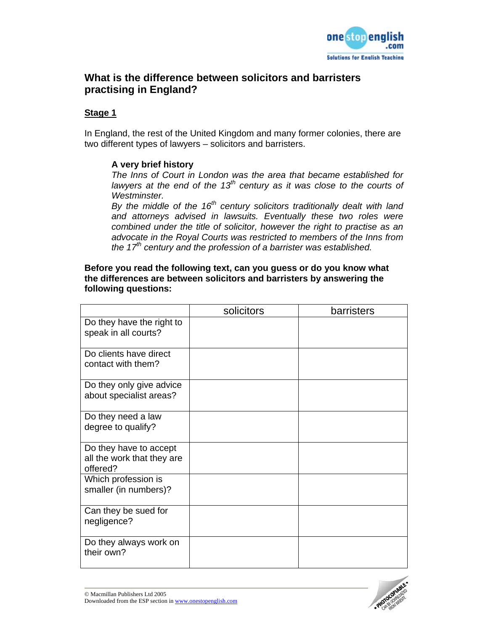

# **What is the difference between solicitors and barristers practising in England?**

#### **Stage 1**

In England, the rest of the United Kingdom and many former colonies, there are two different types of lawyers – solicitors and barristers.

#### **A very brief history**

*The Inns of Court in London was the area that became established for lawyers at the end of the 13<sup>th</sup> century as it was close to the courts of Westminster.* 

*By the middle of the 16th century solicitors traditionally dealt with land and attorneys advised in lawsuits. Eventually these two roles were combined under the title of solicitor, however the right to practise as an advocate in the Royal Courts was restricted to members of the Inns from the 17th century and the profession of a barrister was established.*

#### **Before you read the following text, can you guess or do you know what the differences are between solicitors and barristers by answering the following questions:**

|                                                                  | solicitors | barristers |
|------------------------------------------------------------------|------------|------------|
| Do they have the right to<br>speak in all courts?                |            |            |
| Do clients have direct<br>contact with them?                     |            |            |
| Do they only give advice<br>about specialist areas?              |            |            |
| Do they need a law<br>degree to qualify?                         |            |            |
| Do they have to accept<br>all the work that they are<br>offered? |            |            |
| Which profession is<br>smaller (in numbers)?                     |            |            |
| Can they be sued for<br>negligence?                              |            |            |
| Do they always work on<br>their own?                             |            |            |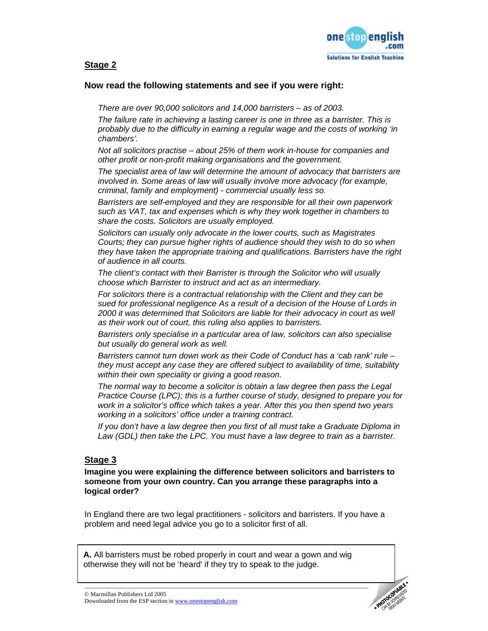

### **Stage 2**

#### **Now read the following statements and see if you were right:**

*There are over 90,000 solicitors and 14,000 barristers – as of 2003.* 

*The failure rate in achieving a lasting career is one in three as a barrister. This is probably due to the difficulty in earning a regular wage and the costs of working 'in chambers'.* 

*Not all solicitors practise – about 25% of them work in-house for companies and other profit or non-profit making organisations and the government.* 

*The specialist area of law will determine the amount of advocacy that barristers are involved in. Some areas of law will usually involve more advocacy (for example, criminal, family and employment) - commercial usually less so.* 

*Barristers are self-employed and they are responsible for all their own paperwork such as VAT, tax and expenses which is why they work together in chambers to share the costs. Solicitors are usually employed.* 

*Solicitors can usually only advocate in the lower courts, such as Magistrates Courts; they can pursue higher rights of audience should they wish to do so when they have taken the appropriate training and qualifications. Barristers have the right of audience in all courts.* 

*The client's contact with their Barrister is through the Solicitor who will usually choose which Barrister to instruct and act as an intermediary.* 

*For solicitors there is a contractual relationship with the Client and they can be sued for professional negligence As a result of a decision of the House of Lords in 2000 it was determined that Solicitors are liable for their advocacy in court as well as their work out of court, this ruling also applies to barristers.* 

*Barristers only specialise in a particular area of law, solicitors can also specialise but usually do general work as well.* 

*Barristers cannot turn down work as their Code of Conduct has a 'cab rank' rule – they must accept any case they are offered subject to availability of time, suitability within their own speciality or giving a good reason.* 

*The normal way to become a solicitor is obtain a law degree then pass the Legal Practice Course (LPC); this is a further course of study, designed to prepare you for work in a solicitor's office which takes a year. After this you then spend two years working in a solicitors' office under a training contract.* 

*If you don't have a law degree then you first of all must take a Graduate Diploma in Law (GDL) then take the LPC. You must have a law degree to train as a barrister.* 

### **Stage 3**

**Imagine you were explaining the difference between solicitors and barristers to someone from your own country. Can you arrange these paragraphs into a logical order?** 

In England there are two legal practitioners - solicitors and barristers. If you have a problem and need legal advice you go to a solicitor first of all.

**A.** All barristers must be robed properly in court and wear a gown and wig otherwise they will not be 'heard' if they try to speak to the judge.

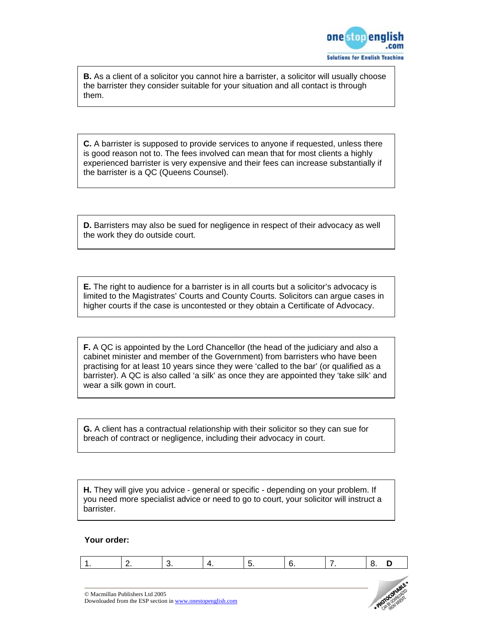

**B.** As a client of a solicitor you cannot hire a barrister, a solicitor will usually choose the barrister they consider suitable for your situation and all contact is through them.

**C.** A barrister is supposed to provide services to anyone if requested, unless there is good reason not to. The fees involved can mean that for most clients a highly experienced barrister is very expensive and their fees can increase substantially if the barrister is a QC (Queens Counsel).

**D.** Barristers may also be sued for negligence in respect of their advocacy as well the work they do outside court.

**E.** The right to audience for a barrister is in all courts but a solicitor's advocacy is limited to the Magistrates' Courts and County Courts. Solicitors can argue cases in higher courts if the case is uncontested or they obtain a Certificate of Advocacy.

**F.** A QC is appointed by the Lord Chancellor (the head of the judiciary and also a cabinet minister and member of the Government) from barristers who have been practising for at least 10 years since they were 'called to the bar' (or qualified as a barrister). A QC is also called 'a silk' as once they are appointed they 'take silk' and wear a silk gown in court.

**G.** A client has a contractual relationship with their solicitor so they can sue for breach of contract or negligence, including their advocacy in court.

**H.** They will give you advice - general or specific - depending on your problem. If you need more specialist advice or need to go to court, your solicitor will instruct a barrister.

#### **Your order:**

|--|--|--|--|--|--|--|--|--|

© Macmillan Publishers Ltd 2005 Downloaded from the ESP section in www.onestopenglish.com